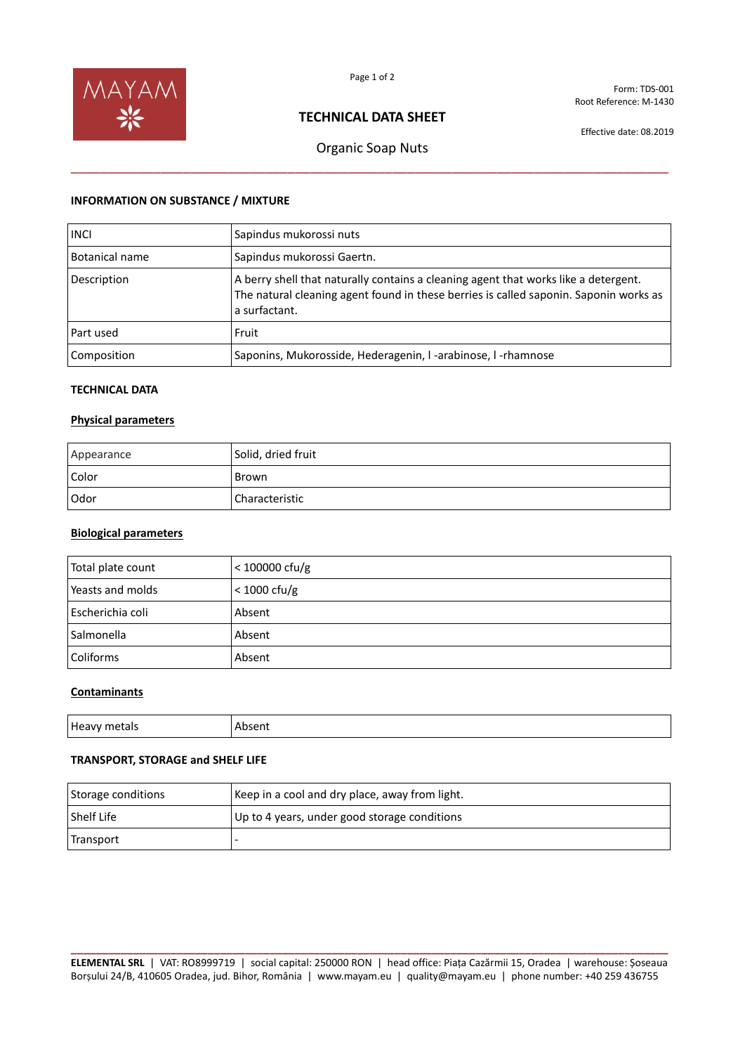

Form: TDS-001 Root Reference: M-1430

# **TECHNICAL DATA SHEET**

Effective date: 08.2019

# Organic Soap Nuts \_\_\_\_\_\_\_\_\_\_\_\_\_\_\_\_\_\_\_\_\_\_\_\_\_\_\_\_\_\_\_\_\_\_\_\_\_\_\_\_\_\_\_\_\_\_\_\_\_\_\_\_\_\_\_\_\_\_\_\_\_\_\_\_\_\_\_\_\_\_\_\_\_\_\_\_\_\_\_\_

### **INFORMATION ON SUBSTANCE / MIXTURE**

| <b>INCI</b>    | Sapindus mukorossi nuts                                                                                                                                                                       |
|----------------|-----------------------------------------------------------------------------------------------------------------------------------------------------------------------------------------------|
| Botanical name | Sapindus mukorossi Gaertn.                                                                                                                                                                    |
| Description    | A berry shell that naturally contains a cleaning agent that works like a detergent.<br>The natural cleaning agent found in these berries is called saponin. Saponin works as<br>a surfactant. |
| Part used      | Fruit                                                                                                                                                                                         |
| Composition    | Saponins, Mukorosside, Hederagenin, I-arabinose, I-rhamnose                                                                                                                                   |

## **TECHNICAL DATA**

#### **Physical parameters**

| Appearance | Solid, dried fruit |
|------------|--------------------|
| Color      | Brown              |
| Odor       | Characteristic     |

#### **Biological parameters**

| Total plate count | $<$ 100000 cfu/g |
|-------------------|------------------|
| Yeasts and molds  | $<$ 1000 cfu/g   |
| Escherichia coli  | Absent           |
| Salmonella        | Absent           |
| Coliforms         | Absent           |

# **Contaminants**

| Heavy  |        |
|--------|--------|
| metals | Absent |
| $ -$   | .      |

## **TRANSPORT, STORAGE and SHELF LIFE**

| Storage conditions | Keep in a cool and dry place, away from light. |
|--------------------|------------------------------------------------|
| <b>Shelf Life</b>  | Up to 4 years, under good storage conditions   |
| Transport          |                                                |